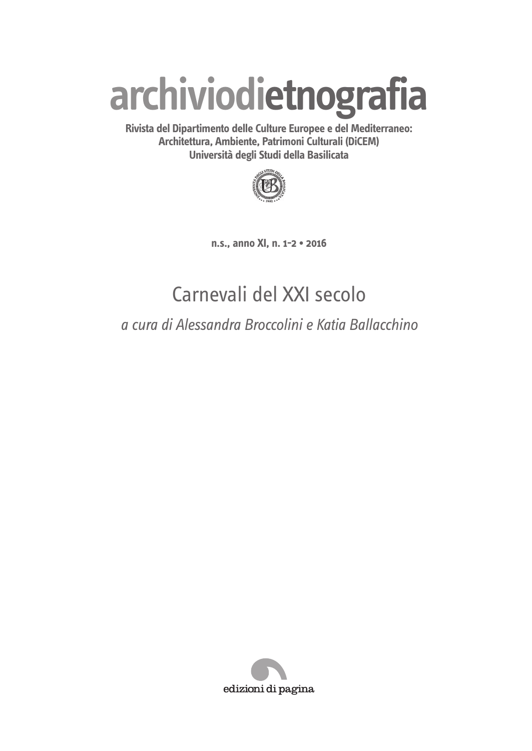# **archiviodietnografia**

**Rivista del Dipartimento delle Culture Europee e del Mediterraneo: Architettura, Ambiente, Patrimoni Culturali (DiCEM) Università degli Studi della Basilicata**



**n.s., anno XI, n. 1-2 • 2016**

## Carnevali del XXI secolo

*a cura di Alessandra Broccolini e Katia Ballacchino*

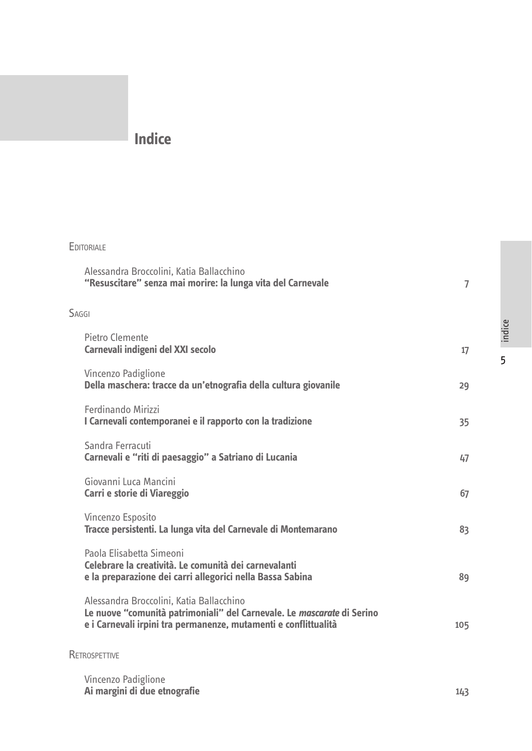### **Indice**

| <b>EDITORIALE</b>                                                                                                                                                                     |                |
|---------------------------------------------------------------------------------------------------------------------------------------------------------------------------------------|----------------|
| Alessandra Broccolini, Katia Ballacchino<br>"Resuscitare" senza mai morire: la lunga vita del Carnevale                                                                               | $\overline{7}$ |
| SAGGI                                                                                                                                                                                 |                |
| Pietro Clemente<br>Carnevali indigeni del XXI secolo                                                                                                                                  | 17             |
| Vincenzo Padiglione<br>Della maschera: tracce da un'etnografia della cultura giovanile                                                                                                | 29             |
| Ferdinando Mirizzi<br>I Carnevali contemporanei e il rapporto con la tradizione                                                                                                       | 35             |
| Sandra Ferracuti<br>Carnevali e "riti di paesaggio" a Satriano di Lucania                                                                                                             | 47             |
| Giovanni Luca Mancini<br>Carri e storie di Viareggio                                                                                                                                  | 67             |
| Vincenzo Esposito<br>Tracce persistenti. La lunga vita del Carnevale di Montemarano                                                                                                   | 83             |
| Paola Elisabetta Simeoni<br>Celebrare la creatività. Le comunità dei carnevalanti<br>e la preparazione dei carri allegorici nella Bassa Sabina                                        | 89             |
| Alessandra Broccolini, Katia Ballacchino<br>Le nuove "comunità patrimoniali" del Carnevale. Le mascarate di Serino<br>e i Carnevali irpini tra permanenze, mutamenti e conflittualità | 105            |

**RETROSPETTIVE** 

Vincenzo Padiglione **Ai margini di due etnografie** 143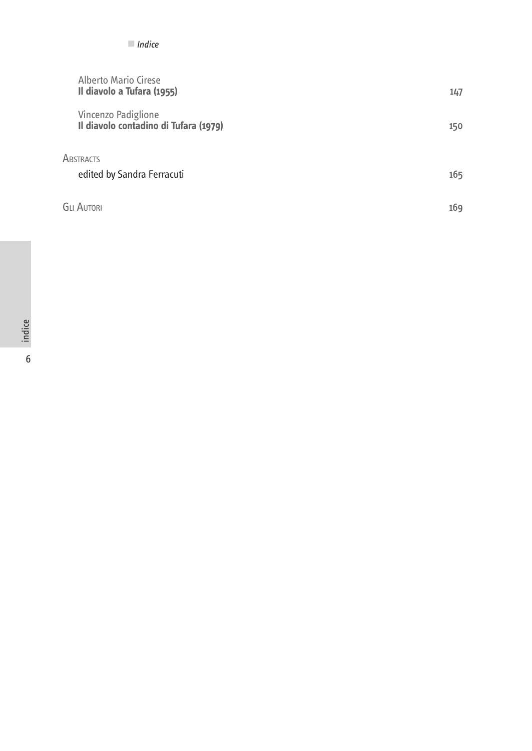| Alberto Mario Cirese<br>Il diavolo a Tufara (1955) |                                       | 147 |
|----------------------------------------------------|---------------------------------------|-----|
| Vincenzo Padiglione                                | Il diavolo contadino di Tufara (1979) | 150 |
| <b>ABSTRACTS</b>                                   |                                       |     |
| edited by Sandra Ferracuti                         |                                       | 165 |
| <b>GLI AUTORI</b>                                  |                                       | 169 |

■ *Indice*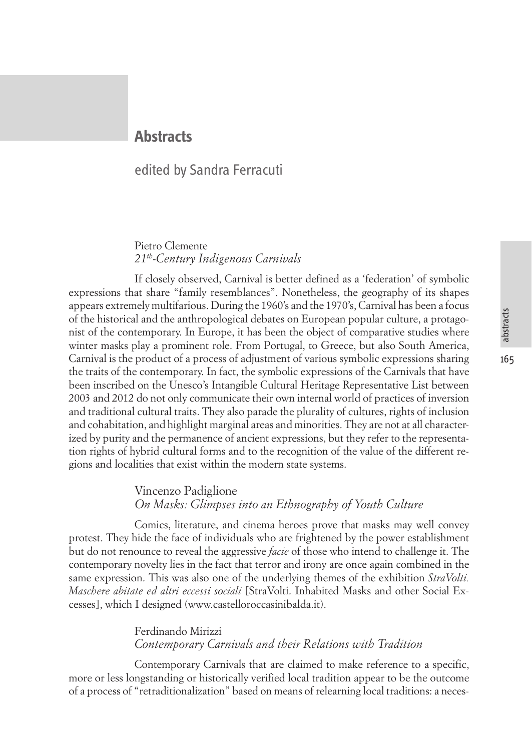165

#### **Abstracts**

#### edited by Sandra Ferracuti

#### Pietro Clemente *21th-Century Indigenous Carnivals*

If closely observed, Carnival is better defined as a 'federation' of symbolic expressions that share "family resemblances". Nonetheless, the geography of its shapes appears extremely multifarious. During the 1960's and the 1970's, Carnival has been a focus of the historical and the anthropological debates on European popular culture, a protagonist of the contemporary. In Europe, it has been the object of comparative studies where winter masks play a prominent role. From Portugal, to Greece, but also South America, Carnival is the product of a process of adjustment of various symbolic expressions sharing the traits of the contemporary. In fact, the symbolic expressions of the Carnivals that have been inscribed on the Unesco's Intangible Cultural Heritage Representative List between 2003 and 2012 do not only communicate their own internal world of practices of inversion and traditional cultural traits. They also parade the plurality of cultures, rights of inclusion and cohabitation, and highlight marginal areas and minorities. They are not at all characterized by purity and the permanence of ancient expressions, but they refer to the representation rights of hybrid cultural forms and to the recognition of the value of the different regions and localities that exist within the modern state systems.

#### Vincenzo Padiglione *On Masks: Glimpses into an Ethnography of Youth Culture*

Comics, literature, and cinema heroes prove that masks may well convey protest. They hide the face of individuals who are frightened by the power establishment but do not renounce to reveal the aggressive *facie* of those who intend to challenge it. The contemporary novelty lies in the fact that terror and irony are once again combined in the same expression. This was also one of the underlying themes of the exhibition *StraVolti. Maschere abitate ed altri eccessi sociali* [StraVolti. Inhabited Masks and other Social Excesses], which I designed (www.castelloroccasinibalda.it).

#### Ferdinando Mirizzi *Contemporary Carnivals and their Relations with Tradition*

Contemporary Carnivals that are claimed to make reference to a specific, more or less longstanding or historically verified local tradition appear to be the outcome of a process of "retraditionalization" based on means of relearning local traditions: a neces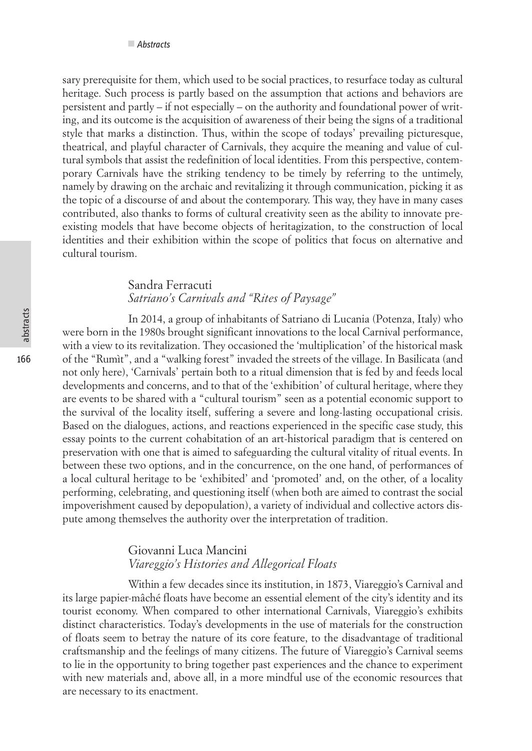sary prerequisite for them, which used to be social practices, to resurface today as cultural heritage. Such process is partly based on the assumption that actions and behaviors are persistent and partly – if not especially – on the authority and foundational power of writing, and its outcome is the acquisition of awareness of their being the signs of a traditional style that marks a distinction. Thus, within the scope of todays' prevailing picturesque, theatrical, and playful character of Carnivals, they acquire the meaning and value of cultural symbols that assist the redefinition of local identities. From this perspective, contemporary Carnivals have the striking tendency to be timely by referring to the untimely, namely by drawing on the archaic and revitalizing it through communication, picking it as the topic of a discourse of and about the contemporary. This way, they have in many cases contributed, also thanks to forms of cultural creativity seen as the ability to innovate preexisting models that have become objects of heritagization, to the construction of local identities and their exhibition within the scope of politics that focus on alternative and cultural tourism.

#### Sandra Ferracuti *Satriano's Carnivals and "Rites of Paysage"*

In 2014, a group of inhabitants of Satriano di Lucania (Potenza, Italy) who were born in the 1980s brought significant innovations to the local Carnival performance, with a view to its revitalization. They occasioned the 'multiplication' of the historical mask of the "Rumìt", and a "walking forest" invaded the streets of the village. In Basilicata (and not only here), 'Carnivals' pertain both to a ritual dimension that is fed by and feeds local developments and concerns, and to that of the 'exhibition' of cultural heritage, where they are events to be shared with a "cultural tourism" seen as a potential economic support to the survival of the locality itself, suffering a severe and long-lasting occupational crisis. Based on the dialogues, actions, and reactions experienced in the specific case study, this essay points to the current cohabitation of an art-historical paradigm that is centered on preservation with one that is aimed to safeguarding the cultural vitality of ritual events. In between these two options, and in the concurrence, on the one hand, of performances of a local cultural heritage to be 'exhibited' and 'promoted' and, on the other, of a locality performing, celebrating, and questioning itself (when both are aimed to contrast the social impoverishment caused by depopulation), a variety of individual and collective actors dispute among themselves the authority over the interpretation of tradition.

#### Giovanni Luca Mancini *Viareggio's Histories and Allegorical Floats*

Within a few decades since its institution, in 1873, Viareggio's Carnival and its large papier-mâché floats have become an essential element of the city's identity and its tourist economy. When compared to other international Carnivals, Viareggio's exhibits distinct characteristics. Today's developments in the use of materials for the construction of floats seem to betray the nature of its core feature, to the disadvantage of traditional craftsmanship and the feelings of many citizens. The future of Viareggio's Carnival seems to lie in the opportunity to bring together past experiences and the chance to experiment with new materials and, above all, in a more mindful use of the economic resources that are necessary to its enactment.

166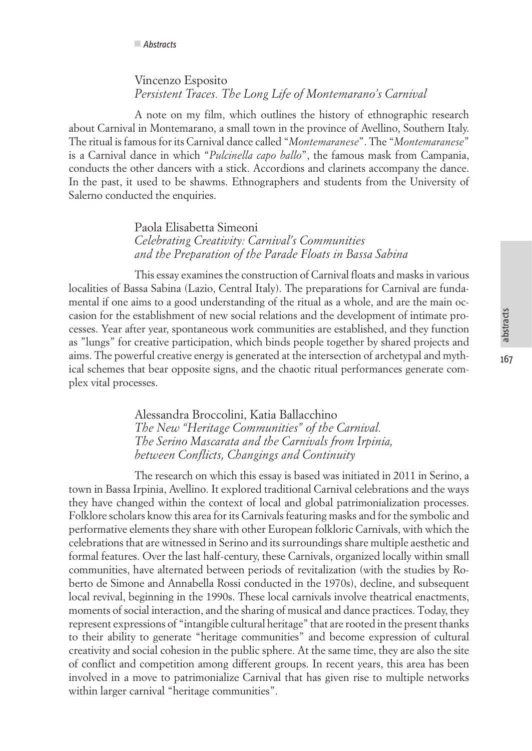#### Vincenzo Esposito *Persistent Traces. The Long Life of Montemarano's Carnival*

A note on my film, which outlines the history of ethnographic research about Carnival in Montemarano, a small town in the province of Avellino, Southern Italy. The ritual is famous for its Carnival dance called "*Montemaranese*". The "*Montemaranese*" is a Carnival dance in which "*Pulcinella capo ballo*", the famous mask from Campania, conducts the other dancers with a stick. Accordions and clarinets accompany the dance. In the past, it used to be shawms. Ethnographers and students from the University of Salerno conducted the enquiries.

> Paola Elisabetta Simeoni *Celebrating Creativity: Carnival's Communities and the Preparation of the Parade Floats in Bassa Sabina*

This essay examines the construction of Carnival floats and masks in various localities of Bassa Sabina (Lazio, Central Italy). The preparations for Carnival are fundamental if one aims to a good understanding of the ritual as a whole, and are the main occasion for the establishment of new social relations and the development of intimate processes. Year after year, spontaneous work communities are established, and they function as "lungs" for creative participation, which binds people together by shared projects and aims. The powerful creative energy is generated at the intersection of archetypal and mythical schemes that bear opposite signs, and the chaotic ritual performances generate complex vital processes.

> Alessandra Broccolini, Katia Ballacchino *The New "Heritage Communities" of the Carnival. The Serino Mascarata and the Carnivals from Irpinia, between Conflicts, Changings and Continuity*

The research on which this essay is based was initiated in 2011 in Serino, a town in Bassa Irpinia, Avellino. It explored traditional Carnival celebrations and the ways they have changed within the context of local and global patrimonialization processes. Folklore scholars know this area for its Carnivals featuring masks and for the symbolic and performative elements they share with other European folkloric Carnivals, with which the celebrations that are witnessed in Serino and its surroundings share multiple aesthetic and formal features. Over the last half-century, these Carnivals, organized locally within small communities, have alternated between periods of revitalization (with the studies by Roberto de Simone and Annabella Rossi conducted in the 1970s), decline, and subsequent local revival, beginning in the 1990s. These local carnivals involve theatrical enactments, moments of social interaction, and the sharing of musical and dance practices. Today, they represent expressions of "intangible cultural heritage" that are rooted in the present thanks to their ability to generate "heritage communities" and become expression of cultural creativity and social cohesion in the public sphere. At the same time, they are also the site of conflict and competition among different groups. In recent years, this area has been involved in a move to patrimonialize Carnival that has given rise to multiple networks within larger carnival "heritage communities".